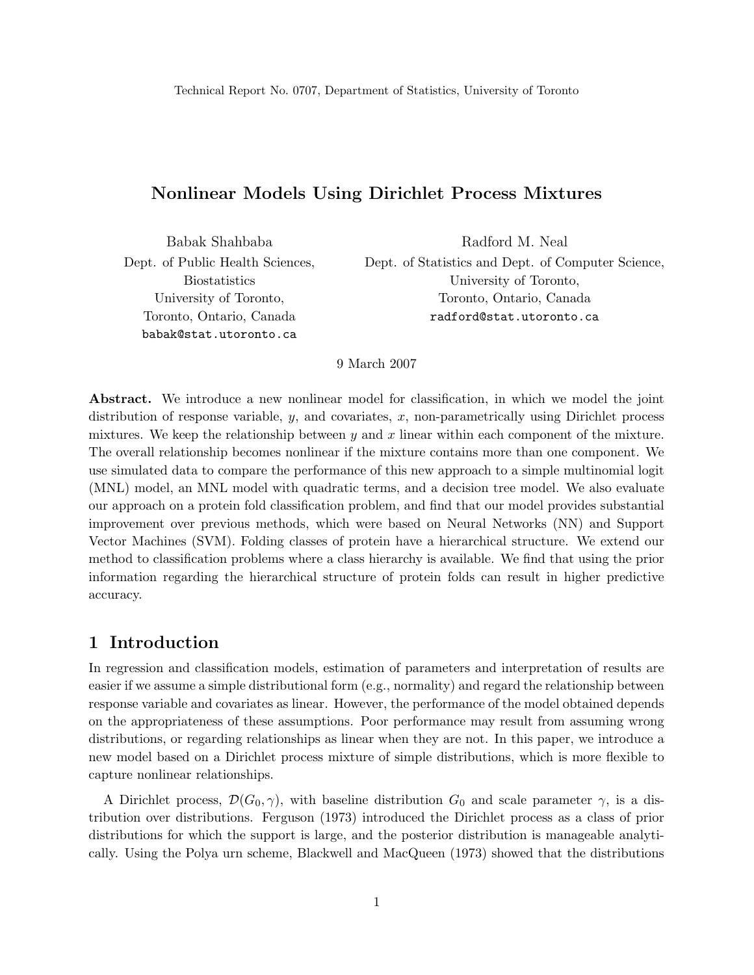# Nonlinear Models Using Dirichlet Process Mixtures

Babak Shahbaba Dept. of Public Health Sciences, Biostatistics University of Toronto, Toronto, Ontario, Canada babak@stat.utoronto.ca

Radford M. Neal Dept. of Statistics and Dept. of Computer Science, University of Toronto, Toronto, Ontario, Canada radford@stat.utoronto.ca

#### 9 March 2007

Abstract. We introduce a new nonlinear model for classification, in which we model the joint distribution of response variable,  $y$ , and covariates,  $x$ , non-parametrically using Dirichlet process mixtures. We keep the relationship between  $y$  and  $x$  linear within each component of the mixture. The overall relationship becomes nonlinear if the mixture contains more than one component. We use simulated data to compare the performance of this new approach to a simple multinomial logit (MNL) model, an MNL model with quadratic terms, and a decision tree model. We also evaluate our approach on a protein fold classification problem, and find that our model provides substantial improvement over previous methods, which were based on Neural Networks (NN) and Support Vector Machines (SVM). Folding classes of protein have a hierarchical structure. We extend our method to classification problems where a class hierarchy is available. We find that using the prior information regarding the hierarchical structure of protein folds can result in higher predictive accuracy.

### 1 Introduction

In regression and classification models, estimation of parameters and interpretation of results are easier if we assume a simple distributional form (e.g., normality) and regard the relationship between response variable and covariates as linear. However, the performance of the model obtained depends on the appropriateness of these assumptions. Poor performance may result from assuming wrong distributions, or regarding relationships as linear when they are not. In this paper, we introduce a new model based on a Dirichlet process mixture of simple distributions, which is more flexible to capture nonlinear relationships.

A Dirichlet process,  $\mathcal{D}(G_0, \gamma)$ , with baseline distribution  $G_0$  and scale parameter  $\gamma$ , is a distribution over distributions. Ferguson (1973) introduced the Dirichlet process as a class of prior distributions for which the support is large, and the posterior distribution is manageable analytically. Using the Polya urn scheme, Blackwell and MacQueen (1973) showed that the distributions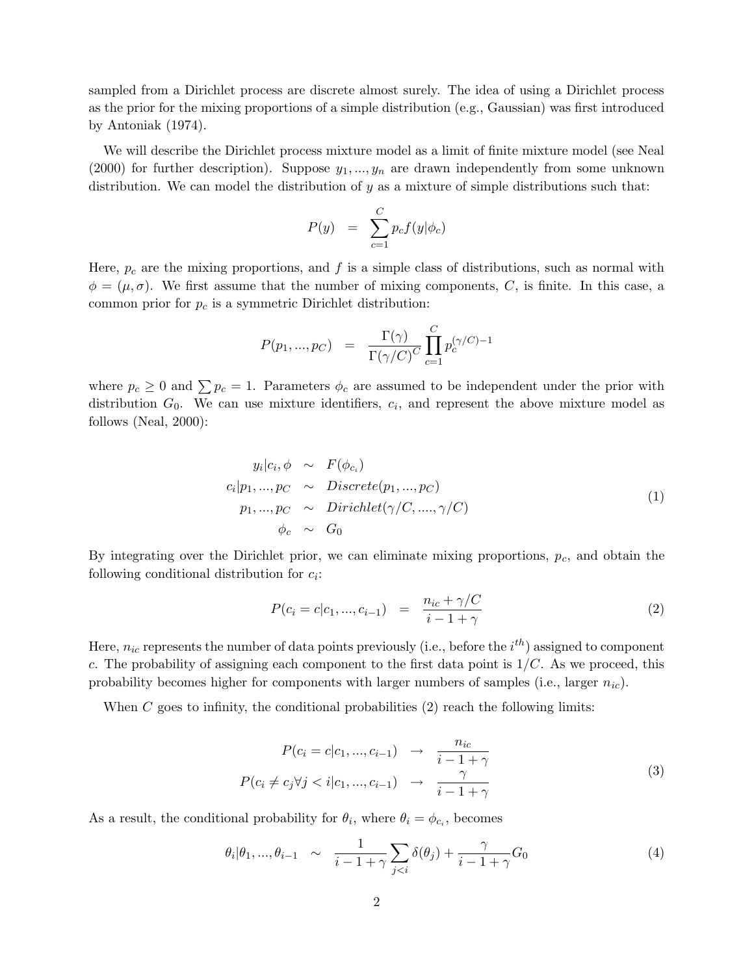sampled from a Dirichlet process are discrete almost surely. The idea of using a Dirichlet process as the prior for the mixing proportions of a simple distribution (e.g., Gaussian) was first introduced by Antoniak (1974).

We will describe the Dirichlet process mixture model as a limit of finite mixture model (see Neal (2000) for further description). Suppose  $y_1, ..., y_n$  are drawn independently from some unknown distribution. We can model the distribution of  $y$  as a mixture of simple distributions such that:

$$
P(y) = \sum_{c=1}^{C} p_c f(y | \phi_c)
$$

Here,  $p_c$  are the mixing proportions, and f is a simple class of distributions, such as normal with  $\phi = (\mu, \sigma)$ . We first assume that the number of mixing components, C, is finite. In this case, a common prior for  $p_c$  is a symmetric Dirichlet distribution:

$$
P(p_1, ..., p_C) = \frac{\Gamma(\gamma)}{\Gamma(\gamma/C)^C} \prod_{c=1}^C p_c^{(\gamma/C)-1}
$$

where  $p_c \geq 0$  and  $\sum p_c = 1$ . Parameters  $\phi_c$  are assumed to be independent under the prior with distribution  $G_0$ . We can use mixture identifiers,  $c_i$ , and represent the above mixture model as follows (Neal, 2000):

$$
y_i|c_i, \phi \sim F(\phi_{c_i})
$$
  
\n
$$
c_i|p_1, ..., p_C \sim Discrete(p_1, ..., p_C)
$$
  
\n
$$
p_1, ..., p_C \sim Dirichlet(\gamma/C, ..., \gamma/C)
$$
  
\n
$$
\phi_c \sim G_0
$$
\n(1)

By integrating over the Dirichlet prior, we can eliminate mixing proportions,  $p<sub>c</sub>$ , and obtain the following conditional distribution for  $c_i$ :

$$
P(c_i = c | c_1, ..., c_{i-1}) = \frac{n_{ic} + \gamma / C}{i - 1 + \gamma}
$$
\n(2)

Here,  $n_{ic}$  represents the number of data points previously (i.e., before the  $i^{th}$ ) assigned to component c. The probability of assigning each component to the first data point is  $1/C$ . As we proceed, this probability becomes higher for components with larger numbers of samples (i.e., larger  $n_{ic}$ ).

When  $C$  goes to infinity, the conditional probabilities  $(2)$  reach the following limits:

$$
P(c_i = c | c_1, ..., c_{i-1}) \rightarrow \frac{n_{ic}}{i - 1 + \gamma}
$$
  

$$
P(c_i \neq c_j \forall j < i | c_1, ..., c_{i-1}) \rightarrow \frac{\gamma}{i - 1 + \gamma}
$$

$$
(3)
$$

As a result, the conditional probability for  $\theta_i$ , where  $\theta_i = \phi_{c_i}$ , becomes

$$
\theta_i|\theta_1,\ldots,\theta_{i-1} \sim \frac{1}{i-1+\gamma} \sum_{j
$$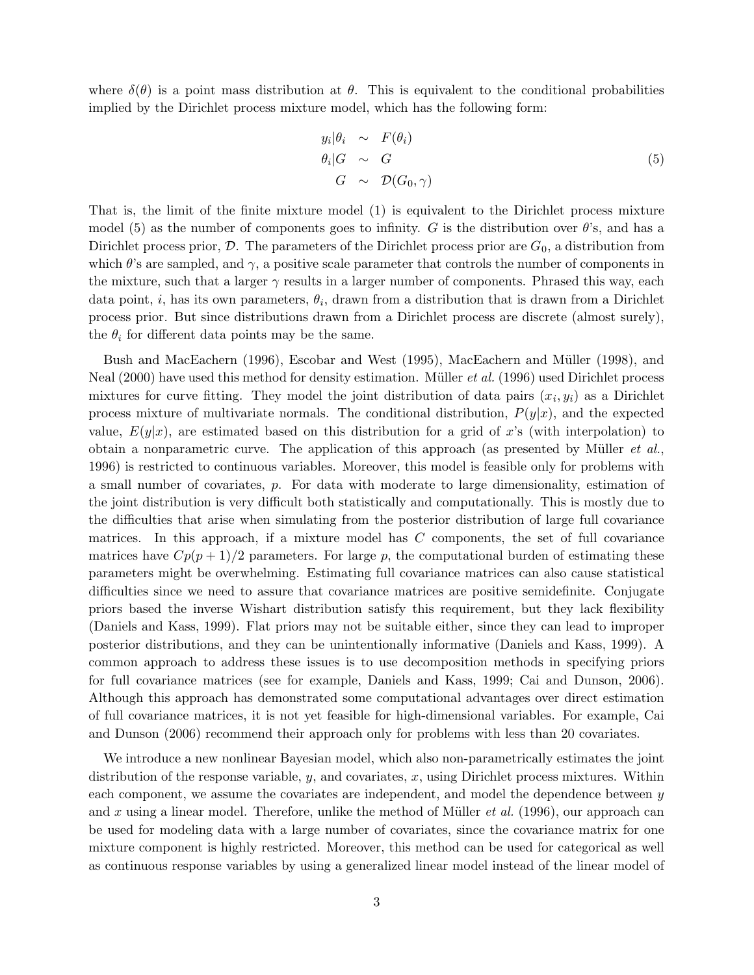where  $\delta(\theta)$  is a point mass distribution at  $\theta$ . This is equivalent to the conditional probabilities implied by the Dirichlet process mixture model, which has the following form:

$$
y_i|\theta_i \sim F(\theta_i)
$$
  
\n
$$
\theta_i|G \sim G
$$
  
\n
$$
G \sim \mathcal{D}(G_0, \gamma)
$$
 (5)

That is, the limit of the finite mixture model (1) is equivalent to the Dirichlet process mixture model (5) as the number of components goes to infinity. G is the distribution over  $\theta$ 's, and has a Dirichlet process prior,  $\mathcal{D}$ . The parameters of the Dirichlet process prior are  $G_0$ , a distribution from which  $\theta$ 's are sampled, and  $\gamma$ , a positive scale parameter that controls the number of components in the mixture, such that a larger  $\gamma$  results in a larger number of components. Phrased this way, each data point, *i*, has its own parameters,  $\theta_i$ , drawn from a distribution that is drawn from a Dirichlet process prior. But since distributions drawn from a Dirichlet process are discrete (almost surely), the  $\theta_i$  for different data points may be the same.

Bush and MacEachern (1996), Escobar and West (1995), MacEachern and Müller (1998), and Neal  $(2000)$  have used this method for density estimation. Müller *et al.*  $(1996)$  used Dirichlet process mixtures for curve fitting. They model the joint distribution of data pairs  $(x_i, y_i)$  as a Dirichlet process mixture of multivariate normals. The conditional distribution,  $P(y|x)$ , and the expected value,  $E(y|x)$ , are estimated based on this distribution for a grid of x's (with interpolation) to obtain a nonparametric curve. The application of this approach (as presented by Müller  $et al.,$ 1996) is restricted to continuous variables. Moreover, this model is feasible only for problems with a small number of covariates, p. For data with moderate to large dimensionality, estimation of the joint distribution is very difficult both statistically and computationally. This is mostly due to the difficulties that arise when simulating from the posterior distribution of large full covariance matrices. In this approach, if a mixture model has C components, the set of full covariance matrices have  $Cp(p+1)/2$  parameters. For large p, the computational burden of estimating these parameters might be overwhelming. Estimating full covariance matrices can also cause statistical difficulties since we need to assure that covariance matrices are positive semidefinite. Conjugate priors based the inverse Wishart distribution satisfy this requirement, but they lack flexibility (Daniels and Kass, 1999). Flat priors may not be suitable either, since they can lead to improper posterior distributions, and they can be unintentionally informative (Daniels and Kass, 1999). A common approach to address these issues is to use decomposition methods in specifying priors for full covariance matrices (see for example, Daniels and Kass, 1999; Cai and Dunson, 2006). Although this approach has demonstrated some computational advantages over direct estimation of full covariance matrices, it is not yet feasible for high-dimensional variables. For example, Cai and Dunson (2006) recommend their approach only for problems with less than 20 covariates.

We introduce a new nonlinear Bayesian model, which also non-parametrically estimates the joint distribution of the response variable,  $y$ , and covariates,  $x$ , using Dirichlet process mixtures. Within each component, we assume the covariates are independent, and model the dependence between y and x using a linear model. Therefore, unlike the method of Müller *et al.* (1996), our approach can be used for modeling data with a large number of covariates, since the covariance matrix for one mixture component is highly restricted. Moreover, this method can be used for categorical as well as continuous response variables by using a generalized linear model instead of the linear model of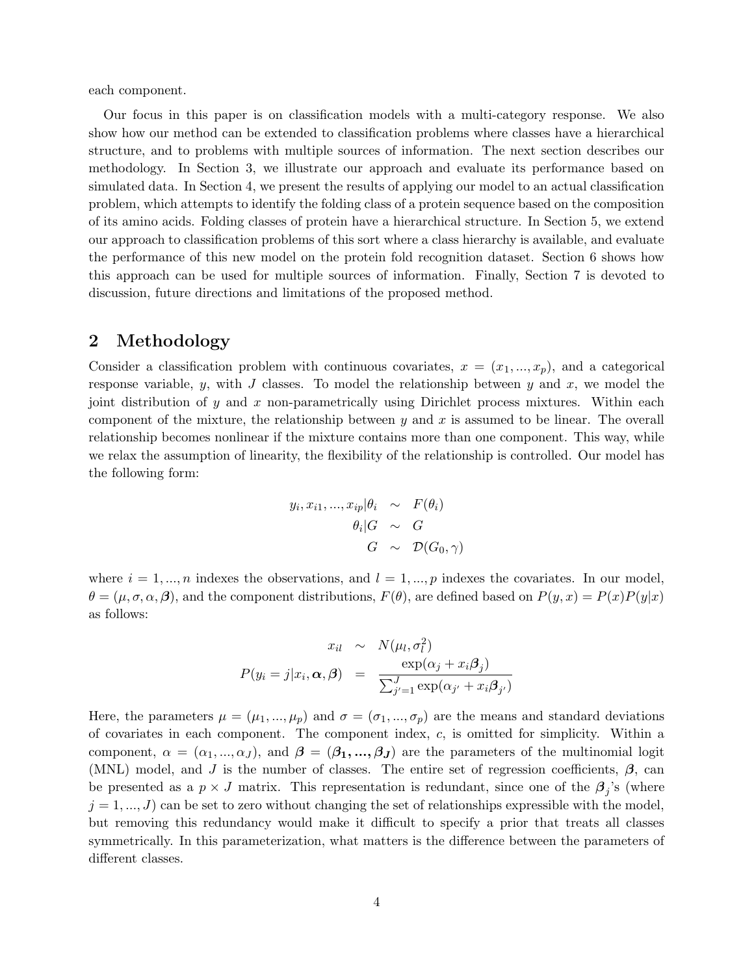each component.

Our focus in this paper is on classification models with a multi-category response. We also show how our method can be extended to classification problems where classes have a hierarchical structure, and to problems with multiple sources of information. The next section describes our methodology. In Section 3, we illustrate our approach and evaluate its performance based on simulated data. In Section 4, we present the results of applying our model to an actual classification problem, which attempts to identify the folding class of a protein sequence based on the composition of its amino acids. Folding classes of protein have a hierarchical structure. In Section 5, we extend our approach to classification problems of this sort where a class hierarchy is available, and evaluate the performance of this new model on the protein fold recognition dataset. Section 6 shows how this approach can be used for multiple sources of information. Finally, Section 7 is devoted to discussion, future directions and limitations of the proposed method.

# 2 Methodology

Consider a classification problem with continuous covariates,  $x = (x_1, ..., x_p)$ , and a categorical response variable,  $y$ , with  $J$  classes. To model the relationship between  $y$  and  $x$ , we model the joint distribution of y and x non-parametrically using Dirichlet process mixtures. Within each component of the mixture, the relationship between  $y$  and  $x$  is assumed to be linear. The overall relationship becomes nonlinear if the mixture contains more than one component. This way, while we relax the assumption of linearity, the flexibility of the relationship is controlled. Our model has the following form:

$$
y_i, x_{i1}, \dots, x_{ip} | \theta_i \sim F(\theta_i)
$$

$$
\theta_i | G \sim G
$$

$$
G \sim \mathcal{D}(G_0, \gamma)
$$

where  $i = 1, ..., n$  indexes the observations, and  $l = 1, ..., p$  indexes the covariates. In our model,  $\theta = (\mu, \sigma, \alpha, \beta)$ , and the component distributions,  $F(\theta)$ , are defined based on  $P(y, x) = P(x)P(y|x)$ as follows:

$$
x_{il} \sim N(\mu_l, \sigma_l^2)
$$

$$
P(y_i = j | x_i, \alpha, \beta) = \frac{\exp(\alpha_j + x_i \beta_j)}{\sum_{j'=1}^J \exp(\alpha_{j'} + x_i \beta_{j'})}
$$

Here, the parameters  $\mu = (\mu_1, ..., \mu_p)$  and  $\sigma = (\sigma_1, ..., \sigma_p)$  are the means and standard deviations of covariates in each component. The component index, c, is omitted for simplicity. Within a component,  $\alpha = (\alpha_1, ..., \alpha_J)$ , and  $\boldsymbol{\beta} = (\beta_1, ..., \beta_J)$  are the parameters of the multinomial logit (MNL) model, and J is the number of classes. The entire set of regression coefficients,  $\beta$ , can be presented as a  $p \times J$  matrix. This representation is redundant, since one of the  $\beta_j$ 's (where  $j = 1, ..., J$  can be set to zero without changing the set of relationships expressible with the model, but removing this redundancy would make it difficult to specify a prior that treats all classes symmetrically. In this parameterization, what matters is the difference between the parameters of different classes.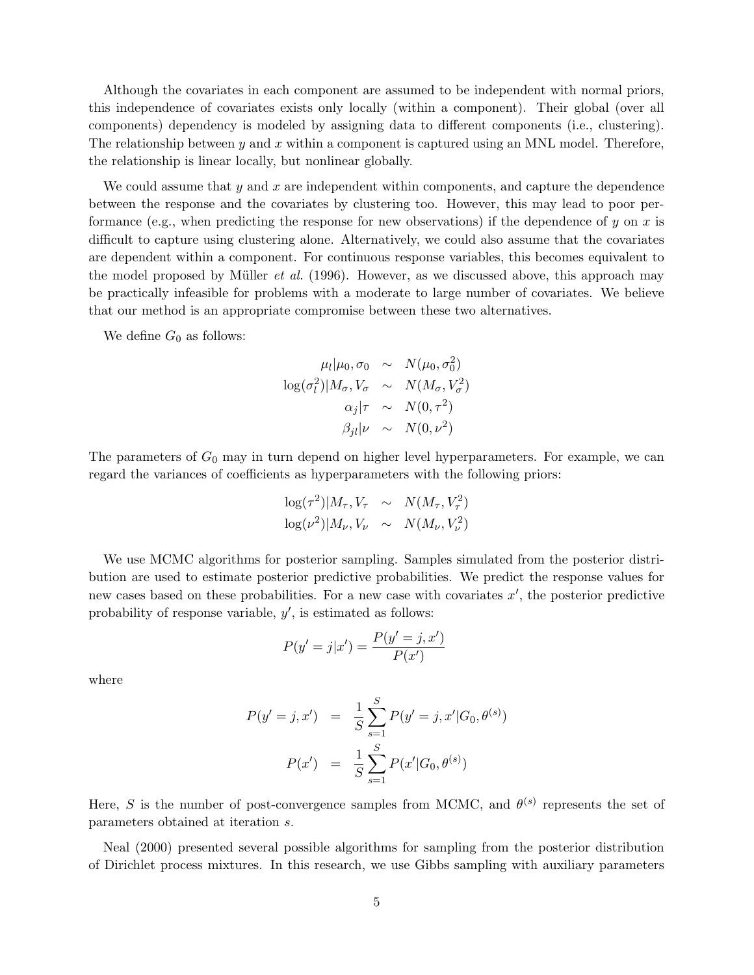Although the covariates in each component are assumed to be independent with normal priors, this independence of covariates exists only locally (within a component). Their global (over all components) dependency is modeled by assigning data to different components (i.e., clustering). The relationship between y and x within a component is captured using an MNL model. Therefore, the relationship is linear locally, but nonlinear globally.

We could assume that  $y$  and  $x$  are independent within components, and capture the dependence between the response and the covariates by clustering too. However, this may lead to poor performance (e.g., when predicting the response for new observations) if the dependence of y on x is difficult to capture using clustering alone. Alternatively, we could also assume that the covariates are dependent within a component. For continuous response variables, this becomes equivalent to the model proposed by Müller *et al.* (1996). However, as we discussed above, this approach may be practically infeasible for problems with a moderate to large number of covariates. We believe that our method is an appropriate compromise between these two alternatives.

We define  $G_0$  as follows:

$$
\mu_l | \mu_0, \sigma_0 \sim N(\mu_0, \sigma_0^2)
$$
  

$$
\log(\sigma_l^2) | M_{\sigma}, V_{\sigma} \sim N(M_{\sigma}, V_{\sigma}^2)
$$
  

$$
\alpha_j | \tau \sim N(0, \tau^2)
$$
  

$$
\beta_{jl} | \nu \sim N(0, \nu^2)
$$

The parameters of  $G_0$  may in turn depend on higher level hyperparameters. For example, we can regard the variances of coefficients as hyperparameters with the following priors:

$$
\log(\tau^2)|M_{\tau}, V_{\tau} \sim N(M_{\tau}, V_{\tau}^2)
$$
  

$$
\log(\nu^2)|M_{\nu}, V_{\nu} \sim N(M_{\nu}, V_{\nu}^2)
$$

We use MCMC algorithms for posterior sampling. Samples simulated from the posterior distribution are used to estimate posterior predictive probabilities. We predict the response values for new cases based on these probabilities. For a new case with covariates  $x'$ , the posterior predictive probability of response variable,  $y'$ , is estimated as follows:

$$
P(y' = j|x') = \frac{P(y' = j, x')}{P(x')}
$$

where

$$
P(y'=j, x') = \frac{1}{S} \sum_{s=1}^{S} P(y'=j, x'|G_0, \theta^{(s)})
$$

$$
P(x') = \frac{1}{S} \sum_{s=1}^{S} P(x'|G_0, \theta^{(s)})
$$

Here, S is the number of post-convergence samples from MCMC, and  $\theta^{(s)}$  represents the set of parameters obtained at iteration s.

Neal (2000) presented several possible algorithms for sampling from the posterior distribution of Dirichlet process mixtures. In this research, we use Gibbs sampling with auxiliary parameters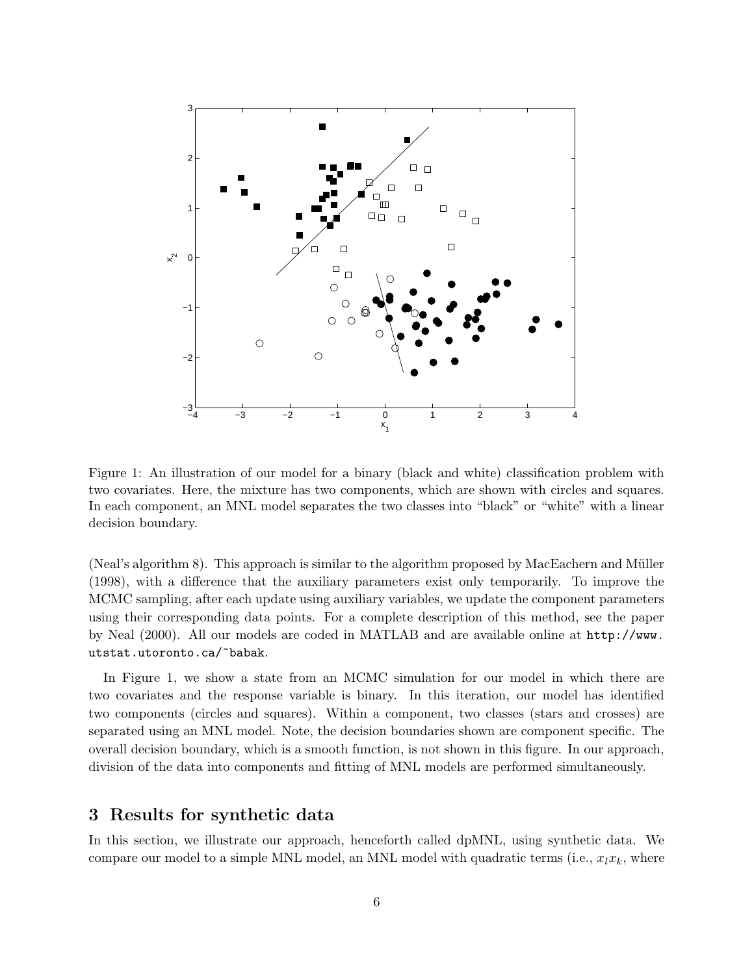

Figure 1: An illustration of our model for a binary (black and white) classification problem with two covariates. Here, the mixture has two components, which are shown with circles and squares. In each component, an MNL model separates the two classes into "black" or "white" with a linear decision boundary.

(Neal's algorithm 8). This approach is similar to the algorithm proposed by MacEachern and Müller (1998), with a difference that the auxiliary parameters exist only temporarily. To improve the MCMC sampling, after each update using auxiliary variables, we update the component parameters using their corresponding data points. For a complete description of this method, see the paper by Neal (2000). All our models are coded in MATLAB and are available online at http://www. utstat.utoronto.ca/~babak.

In Figure 1, we show a state from an MCMC simulation for our model in which there are two covariates and the response variable is binary. In this iteration, our model has identified two components (circles and squares). Within a component, two classes (stars and crosses) are separated using an MNL model. Note, the decision boundaries shown are component specific. The overall decision boundary, which is a smooth function, is not shown in this figure. In our approach, division of the data into components and fitting of MNL models are performed simultaneously.

# 3 Results for synthetic data

In this section, we illustrate our approach, henceforth called dpMNL, using synthetic data. We compare our model to a simple MNL model, an MNL model with quadratic terms (i.e.,  $x_l x_k$ , where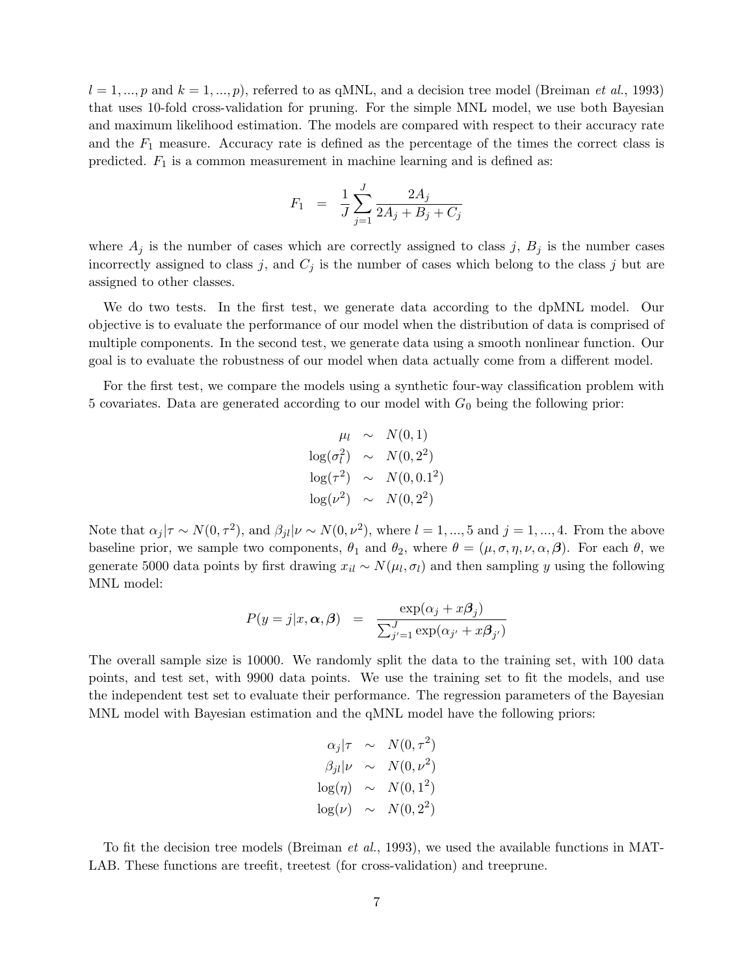$l = 1, ..., p$  and  $k = 1, ..., p$ , referred to as qMNL, and a decision tree model (Breiman *et al.*, 1993) that uses 10-fold cross-validation for pruning. For the simple MNL model, we use both Bayesian and maximum likelihood estimation. The models are compared with respect to their accuracy rate and the  $F_1$  measure. Accuracy rate is defined as the percentage of the times the correct class is predicted.  $F_1$  is a common measurement in machine learning and is defined as:

$$
F_1 = \frac{1}{J} \sum_{j=1}^{J} \frac{2A_j}{2A_j + B_j + C_j}
$$

where  $A_j$  is the number of cases which are correctly assigned to class j,  $B_j$  is the number cases incorrectly assigned to class j, and  $C_j$  is the number of cases which belong to the class j but are assigned to other classes.

We do two tests. In the first test, we generate data according to the dpMNL model. Our objective is to evaluate the performance of our model when the distribution of data is comprised of multiple components. In the second test, we generate data using a smooth nonlinear function. Our goal is to evaluate the robustness of our model when data actually come from a different model.

For the first test, we compare the models using a synthetic four-way classification problem with 5 covariates. Data are generated according to our model with  $G_0$  being the following prior:

$$
\mu_l \sim N(0, 1)
$$
  
\n
$$
\log(\sigma_l^2) \sim N(0, 2^2)
$$
  
\n
$$
\log(\tau^2) \sim N(0, 0.1^2)
$$
  
\n
$$
\log(\nu^2) \sim N(0, 2^2)
$$

Note that  $\alpha_j | \tau \sim N(0, \tau^2)$ , and  $\beta_{jl} | \nu \sim N(0, \nu^2)$ , where  $l = 1, ..., 5$  and  $j = 1, ..., 4$ . From the above baseline prior, we sample two components,  $\theta_1$  and  $\theta_2$ , where  $\theta = (\mu, \sigma, \eta, \nu, \alpha, \beta)$ . For each  $\theta$ , we generate 5000 data points by first drawing  $x_{il} \sim N(\mu_l, \sigma_l)$  and then sampling y using the following MNL model:

$$
P(y = j | x, \alpha, \beta) = \frac{\exp(\alpha_j + x\beta_j)}{\sum_{j'=1}^{J} \exp(\alpha_{j'} + x\beta_{j'})}
$$

The overall sample size is 10000. We randomly split the data to the training set, with 100 data points, and test set, with 9900 data points. We use the training set to fit the models, and use the independent test set to evaluate their performance. The regression parameters of the Bayesian MNL model with Bayesian estimation and the qMNL model have the following priors:

$$
\alpha_j|\tau \sim N(0, \tau^2)
$$
  
\n
$$
\beta_{jl}|\nu \sim N(0, \nu^2)
$$
  
\n
$$
\log(\eta) \sim N(0, 1^2)
$$
  
\n
$$
\log(\nu) \sim N(0, 2^2)
$$

To fit the decision tree models (Breiman et al., 1993), we used the available functions in MAT-LAB. These functions are treefit, treetest (for cross-validation) and treeprune.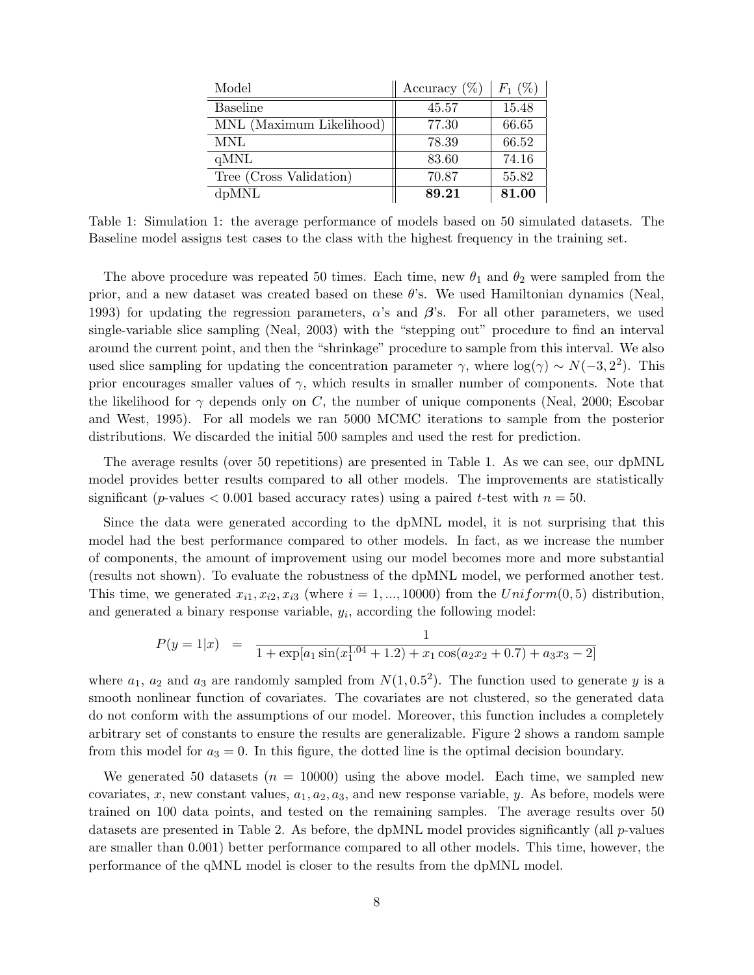| Model                    | Accuracy $(\%)$ | $F_1$ (%) |
|--------------------------|-----------------|-----------|
| <b>Baseline</b>          | 45.57           | 15.48     |
| MNL (Maximum Likelihood) | 77.30           | 66.65     |
| <b>MNL</b>               | 78.39           | 66.52     |
| qMNL                     | 83.60           | 74.16     |
| Tree (Cross Validation)  | 70.87           | 55.82     |
| dpMNL                    | 89.21           | 81.00     |

Table 1: Simulation 1: the average performance of models based on 50 simulated datasets. The Baseline model assigns test cases to the class with the highest frequency in the training set.

The above procedure was repeated 50 times. Each time, new  $\theta_1$  and  $\theta_2$  were sampled from the prior, and a new dataset was created based on these  $\theta$ 's. We used Hamiltonian dynamics (Neal, 1993) for updating the regression parameters,  $\alpha$ 's and  $\beta$ 's. For all other parameters, we used single-variable slice sampling (Neal, 2003) with the "stepping out" procedure to find an interval around the current point, and then the "shrinkage" procedure to sample from this interval. We also used slice sampling for updating the concentration parameter  $\gamma$ , where  $\log(\gamma) \sim N(-3, 2^2)$ . This prior encourages smaller values of  $\gamma$ , which results in smaller number of components. Note that the likelihood for  $\gamma$  depends only on C, the number of unique components (Neal, 2000; Escobar and West, 1995). For all models we ran 5000 MCMC iterations to sample from the posterior distributions. We discarded the initial 500 samples and used the rest for prediction.

The average results (over 50 repetitions) are presented in Table 1. As we can see, our dpMNL model provides better results compared to all other models. The improvements are statistically significant (*p*-values  $< 0.001$  based accuracy rates) using a paired t-test with  $n = 50$ .

Since the data were generated according to the dpMNL model, it is not surprising that this model had the best performance compared to other models. In fact, as we increase the number of components, the amount of improvement using our model becomes more and more substantial (results not shown). To evaluate the robustness of the dpMNL model, we performed another test. This time, we generated  $x_{i1}, x_{i2}, x_{i3}$  (where  $i = 1, ..., 10000$ ) from the  $Uniform(0, 5)$  distribution, and generated a binary response variable,  $y_i$ , according the following model:

$$
P(y = 1|x) = \frac{1}{1 + \exp[a_1 \sin(x_1^{1.04} + 1.2) + x_1 \cos(a_2 x_2 + 0.7) + a_3 x_3 - 2]}
$$

where  $a_1, a_2$  and  $a_3$  are randomly sampled from  $N(1, 0.5^2)$ . The function used to generate y is a smooth nonlinear function of covariates. The covariates are not clustered, so the generated data do not conform with the assumptions of our model. Moreover, this function includes a completely arbitrary set of constants to ensure the results are generalizable. Figure 2 shows a random sample from this model for  $a_3 = 0$ . In this figure, the dotted line is the optimal decision boundary.

We generated 50 datasets  $(n = 10000)$  using the above model. Each time, we sampled new covariates, x, new constant values,  $a_1, a_2, a_3$ , and new response variable, y. As before, models were trained on 100 data points, and tested on the remaining samples. The average results over 50 datasets are presented in Table 2. As before, the dpMNL model provides significantly (all p-values are smaller than 0.001) better performance compared to all other models. This time, however, the performance of the qMNL model is closer to the results from the dpMNL model.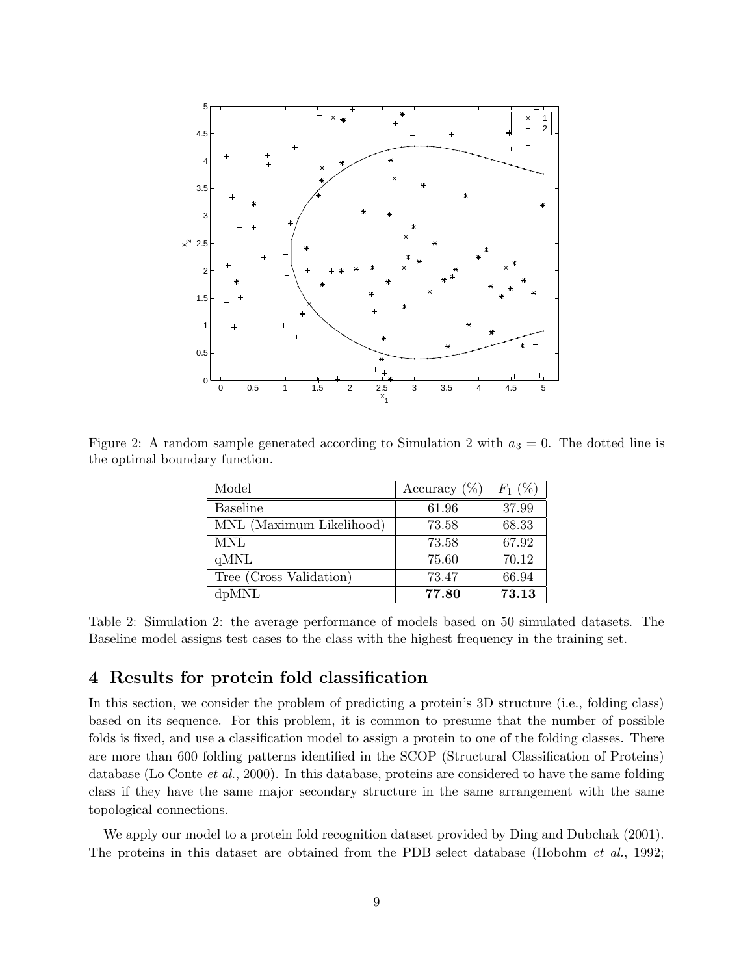

Figure 2: A random sample generated according to Simulation 2 with  $a_3 = 0$ . The dotted line is the optimal boundary function.

| Model                    | Accuracy $(\%)$ | $F_1$ (%) |
|--------------------------|-----------------|-----------|
| <b>Baseline</b>          | 61.96           | 37.99     |
| MNL (Maximum Likelihood) | 73.58           | 68.33     |
| <b>MNL</b>               | 73.58           | 67.92     |
| qMNL                     | 75.60           | 70.12     |
| Tree (Cross Validation)  | 73.47           | 66.94     |
| dpMNL                    | 77.80           | 73.13     |

Table 2: Simulation 2: the average performance of models based on 50 simulated datasets. The Baseline model assigns test cases to the class with the highest frequency in the training set.

# 4 Results for protein fold classification

In this section, we consider the problem of predicting a protein's 3D structure (i.e., folding class) based on its sequence. For this problem, it is common to presume that the number of possible folds is fixed, and use a classification model to assign a protein to one of the folding classes. There are more than 600 folding patterns identified in the SCOP (Structural Classification of Proteins) database (Lo Conte et al., 2000). In this database, proteins are considered to have the same folding class if they have the same major secondary structure in the same arrangement with the same topological connections.

We apply our model to a protein fold recognition dataset provided by Ding and Dubchak (2001). The proteins in this dataset are obtained from the PDB select database (Hobohm *et al.*, 1992;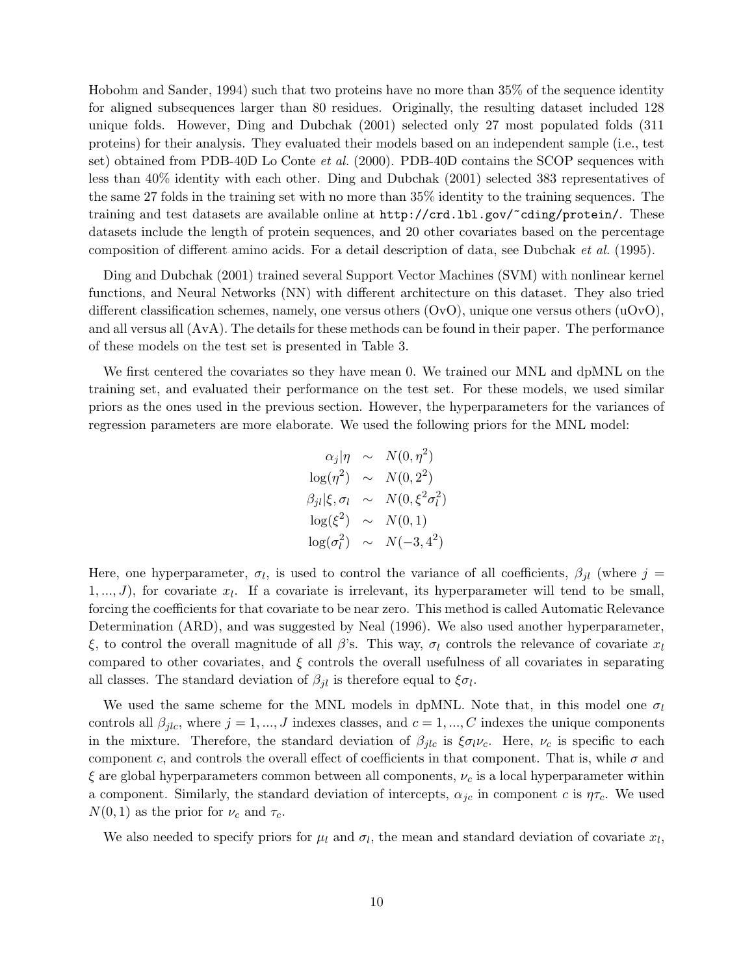Hobohm and Sander, 1994) such that two proteins have no more than 35% of the sequence identity for aligned subsequences larger than 80 residues. Originally, the resulting dataset included 128 unique folds. However, Ding and Dubchak (2001) selected only 27 most populated folds (311 proteins) for their analysis. They evaluated their models based on an independent sample (i.e., test set) obtained from PDB-40D Lo Conte et al. (2000). PDB-40D contains the SCOP sequences with less than 40% identity with each other. Ding and Dubchak (2001) selected 383 representatives of the same 27 folds in the training set with no more than 35% identity to the training sequences. The training and test datasets are available online at http://crd.lbl.gov/~cding/protein/. These datasets include the length of protein sequences, and 20 other covariates based on the percentage composition of different amino acids. For a detail description of data, see Dubchak et al. (1995).

Ding and Dubchak (2001) trained several Support Vector Machines (SVM) with nonlinear kernel functions, and Neural Networks (NN) with different architecture on this dataset. They also tried different classification schemes, namely, one versus others  $(OvO)$ , unique one versus others  $(uOvO)$ , and all versus all (AvA). The details for these methods can be found in their paper. The performance of these models on the test set is presented in Table 3.

We first centered the covariates so they have mean 0. We trained our MNL and dpMNL on the training set, and evaluated their performance on the test set. For these models, we used similar priors as the ones used in the previous section. However, the hyperparameters for the variances of regression parameters are more elaborate. We used the following priors for the MNL model:

$$
\alpha_j|\eta \sim N(0, \eta^2)
$$
  
\n
$$
\log(\eta^2) \sim N(0, 2^2)
$$
  
\n
$$
\beta_{jl}|\xi, \sigma_l \sim N(0, \xi^2 \sigma_l^2)
$$
  
\n
$$
\log(\xi^2) \sim N(0, 1)
$$
  
\n
$$
\log(\sigma_l^2) \sim N(-3, 4^2)
$$

Here, one hyperparameter,  $\sigma_l$ , is used to control the variance of all coefficients,  $\beta_{jl}$  (where  $j =$  $1, \ldots, J$ , for covariate  $x_l$ . If a covariate is irrelevant, its hyperparameter will tend to be small, forcing the coefficients for that covariate to be near zero. This method is called Automatic Relevance Determination (ARD), and was suggested by Neal (1996). We also used another hyperparameter, ξ, to control the overall magnitude of all β's. This way,  $\sigma_l$  controls the relevance of covariate  $x_l$ compared to other covariates, and  $\xi$  controls the overall usefulness of all covariates in separating all classes. The standard deviation of  $\beta_{jl}$  is therefore equal to  $\xi \sigma_l$ .

We used the same scheme for the MNL models in dpMNL. Note that, in this model one  $\sigma_l$ controls all  $\beta_{jlc}$ , where  $j = 1, ..., J$  indexes classes, and  $c = 1, ..., C$  indexes the unique components in the mixture. Therefore, the standard deviation of  $\beta_{jlc}$  is  $\xi \sigma_l \nu_c$ . Here,  $\nu_c$  is specific to each component c, and controls the overall effect of coefficients in that component. That is, while  $\sigma$  and  $\xi$  are global hyperparameters common between all components,  $\nu_c$  is a local hyperparameter within a component. Similarly, the standard deviation of intercepts,  $\alpha_{ic}$  in component c is  $\eta\tau_c$ . We used  $N(0, 1)$  as the prior for  $\nu_c$  and  $\tau_c$ .

We also needed to specify priors for  $\mu_l$  and  $\sigma_l$ , the mean and standard deviation of covariate  $x_l$ ,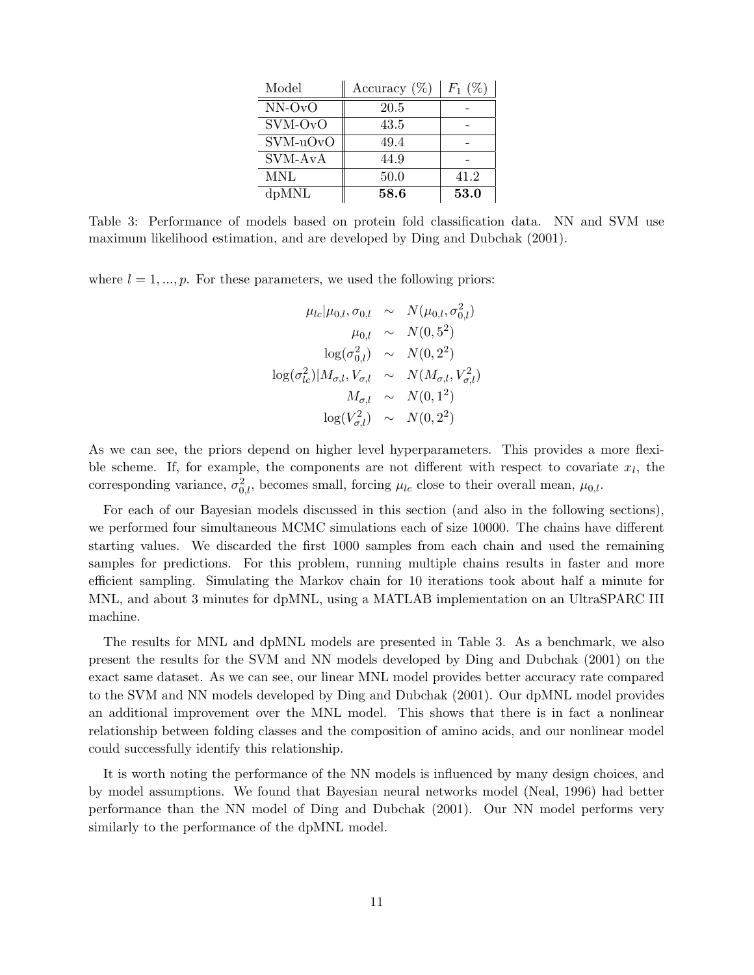| Model    | Accuracy $(\%)$ | $F_1$ (' |
|----------|-----------------|----------|
| NN-OvO   | 20.5            |          |
| SVM-OvO  | 43.5            |          |
| SVM-uOvO | 49.4            |          |
| SVM-AvA  | 44.9            |          |
| MNL      | 50.0            | 41.2     |
| dpMNL    | 58.6            | 53.0     |

Table 3: Performance of models based on protein fold classification data. NN and SVM use maximum likelihood estimation, and are developed by Ding and Dubchak (2001).

where  $l = 1, ..., p$ . For these parameters, we used the following priors:

$$
\mu_{lc} | \mu_{0,l}, \sigma_{0,l} \sim N(\mu_{0,l}, \sigma_{0,l}^2) \n\mu_{0,l} \sim N(0, 5^2) \n\log(\sigma_{0,l}^2) \sim N(0, 2^2) \n\log(\sigma_{lc}^2) | M_{\sigma,l}, V_{\sigma,l} \sim N(M_{\sigma,l}, V_{\sigma,l}^2) \nM_{\sigma,l} \sim N(0, 1^2) \n\log(V_{\sigma,l}^2) \sim N(0, 2^2)
$$

As we can see, the priors depend on higher level hyperparameters. This provides a more flexible scheme. If, for example, the components are not different with respect to covariate  $x_l$ , the corresponding variance,  $\sigma_{0,l}^2$ , becomes small, forcing  $\mu_{lc}$  close to their overall mean,  $\mu_{0,l}$ .

For each of our Bayesian models discussed in this section (and also in the following sections), we performed four simultaneous MCMC simulations each of size 10000. The chains have different starting values. We discarded the first 1000 samples from each chain and used the remaining samples for predictions. For this problem, running multiple chains results in faster and more efficient sampling. Simulating the Markov chain for 10 iterations took about half a minute for MNL, and about 3 minutes for dpMNL, using a MATLAB implementation on an UltraSPARC III machine.

The results for MNL and dpMNL models are presented in Table 3. As a benchmark, we also present the results for the SVM and NN models developed by Ding and Dubchak (2001) on the exact same dataset. As we can see, our linear MNL model provides better accuracy rate compared to the SVM and NN models developed by Ding and Dubchak (2001). Our dpMNL model provides an additional improvement over the MNL model. This shows that there is in fact a nonlinear relationship between folding classes and the composition of amino acids, and our nonlinear model could successfully identify this relationship.

It is worth noting the performance of the NN models is influenced by many design choices, and by model assumptions. We found that Bayesian neural networks model (Neal, 1996) had better performance than the NN model of Ding and Dubchak (2001). Our NN model performs very similarly to the performance of the dpMNL model.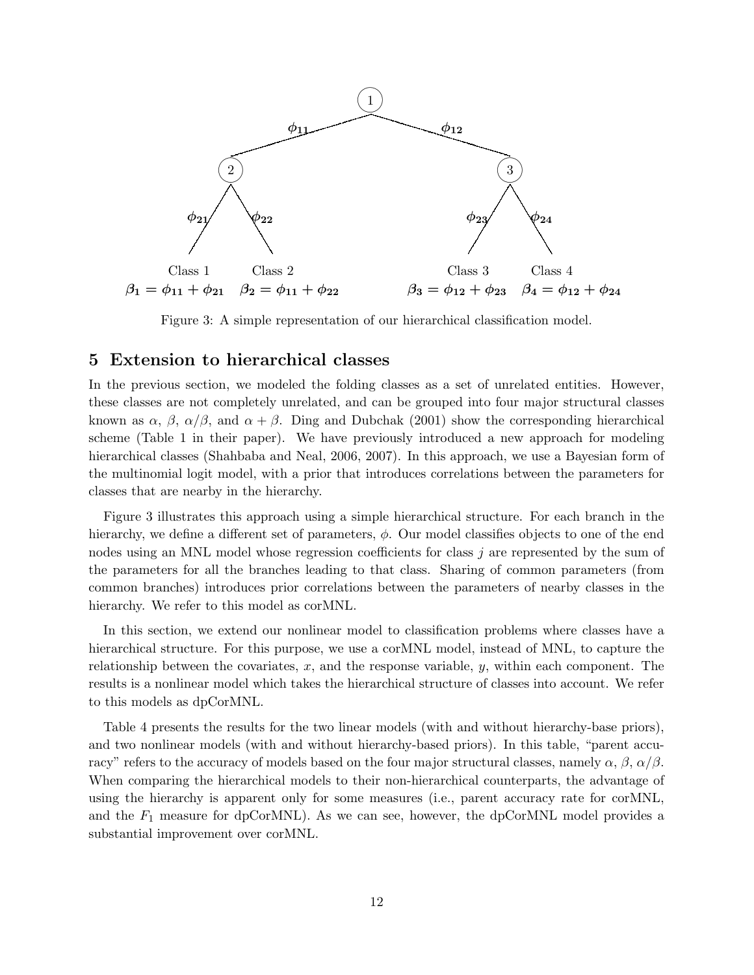

Figure 3: A simple representation of our hierarchical classification model.

### 5 Extension to hierarchical classes

In the previous section, we modeled the folding classes as a set of unrelated entities. However, these classes are not completely unrelated, and can be grouped into four major structural classes known as  $\alpha$ ,  $\beta$ ,  $\alpha/\beta$ , and  $\alpha + \beta$ . Ding and Dubchak (2001) show the corresponding hierarchical scheme (Table 1 in their paper). We have previously introduced a new approach for modeling hierarchical classes (Shahbaba and Neal, 2006, 2007). In this approach, we use a Bayesian form of the multinomial logit model, with a prior that introduces correlations between the parameters for classes that are nearby in the hierarchy.

Figure 3 illustrates this approach using a simple hierarchical structure. For each branch in the hierarchy, we define a different set of parameters,  $\phi$ . Our model classifies objects to one of the end nodes using an MNL model whose regression coefficients for class j are represented by the sum of the parameters for all the branches leading to that class. Sharing of common parameters (from common branches) introduces prior correlations between the parameters of nearby classes in the hierarchy. We refer to this model as corMNL.

In this section, we extend our nonlinear model to classification problems where classes have a hierarchical structure. For this purpose, we use a corMNL model, instead of MNL, to capture the relationship between the covariates,  $x$ , and the response variable,  $y$ , within each component. The results is a nonlinear model which takes the hierarchical structure of classes into account. We refer to this models as dpCorMNL.

Table 4 presents the results for the two linear models (with and without hierarchy-base priors), and two nonlinear models (with and without hierarchy-based priors). In this table, "parent accuracy" refers to the accuracy of models based on the four major structural classes, namely  $\alpha$ ,  $\beta$ ,  $\alpha/\beta$ . When comparing the hierarchical models to their non-hierarchical counterparts, the advantage of using the hierarchy is apparent only for some measures (i.e., parent accuracy rate for corMNL, and the  $F_1$  measure for dpCorMNL). As we can see, however, the dpCorMNL model provides a substantial improvement over corMNL.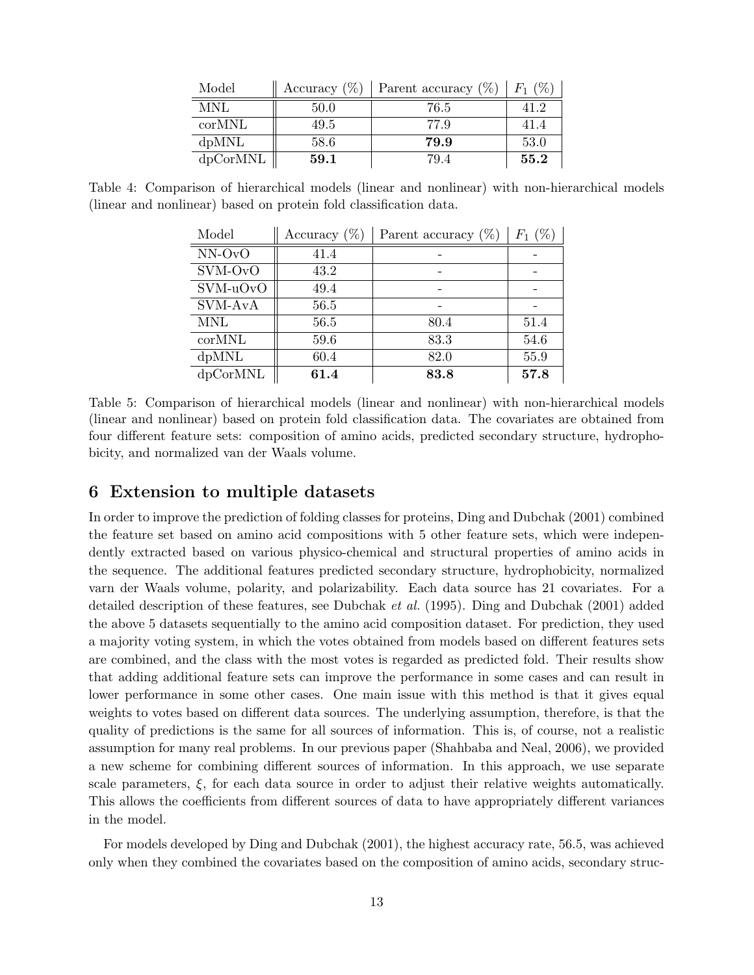| Model    | Accuracy $(\%)$ | Parent accuracy $(\%)$ | $F_1(%)$ |
|----------|-----------------|------------------------|----------|
| MNL      | 50.0            | 76.5                   | 41.2     |
| corMNL   | 49.5            | 77.9                   | 41.4     |
| dpMNL    | 58.6            | 79.9                   | 53.0     |
| dpCorMNL | 59.1            | 79.4                   | 55.2     |

Table 4: Comparison of hierarchical models (linear and nonlinear) with non-hierarchical models (linear and nonlinear) based on protein fold classification data.

| Model      | Accuracy $(\%)$ | Parent accuracy $(\%)$ | $F_1(%)$ |
|------------|-----------------|------------------------|----------|
| $NN-OvO$   | 41.4            |                        |          |
| SVM-OvO    | 43.2            |                        |          |
| SVM-uOvO   | 49.4            |                        |          |
| SVM-AvA    | 56.5            |                        |          |
| <b>MNL</b> | 56.5            | 80.4                   | 51.4     |
| corMNL     | 59.6            | 83.3                   | 54.6     |
| dpMNL      | 60.4            | 82.0                   | 55.9     |
| dpCorMNL   | 61.4            | 83.8                   | 57.8     |

Table 5: Comparison of hierarchical models (linear and nonlinear) with non-hierarchical models (linear and nonlinear) based on protein fold classification data. The covariates are obtained from four different feature sets: composition of amino acids, predicted secondary structure, hydrophobicity, and normalized van der Waals volume.

### 6 Extension to multiple datasets

In order to improve the prediction of folding classes for proteins, Ding and Dubchak (2001) combined the feature set based on amino acid compositions with 5 other feature sets, which were independently extracted based on various physico-chemical and structural properties of amino acids in the sequence. The additional features predicted secondary structure, hydrophobicity, normalized varn der Waals volume, polarity, and polarizability. Each data source has 21 covariates. For a detailed description of these features, see Dubchak et al. (1995). Ding and Dubchak (2001) added the above 5 datasets sequentially to the amino acid composition dataset. For prediction, they used a majority voting system, in which the votes obtained from models based on different features sets are combined, and the class with the most votes is regarded as predicted fold. Their results show that adding additional feature sets can improve the performance in some cases and can result in lower performance in some other cases. One main issue with this method is that it gives equal weights to votes based on different data sources. The underlying assumption, therefore, is that the quality of predictions is the same for all sources of information. This is, of course, not a realistic assumption for many real problems. In our previous paper (Shahbaba and Neal, 2006), we provided a new scheme for combining different sources of information. In this approach, we use separate scale parameters,  $\xi$ , for each data source in order to adjust their relative weights automatically. This allows the coefficients from different sources of data to have appropriately different variances in the model.

For models developed by Ding and Dubchak (2001), the highest accuracy rate, 56.5, was achieved only when they combined the covariates based on the composition of amino acids, secondary struc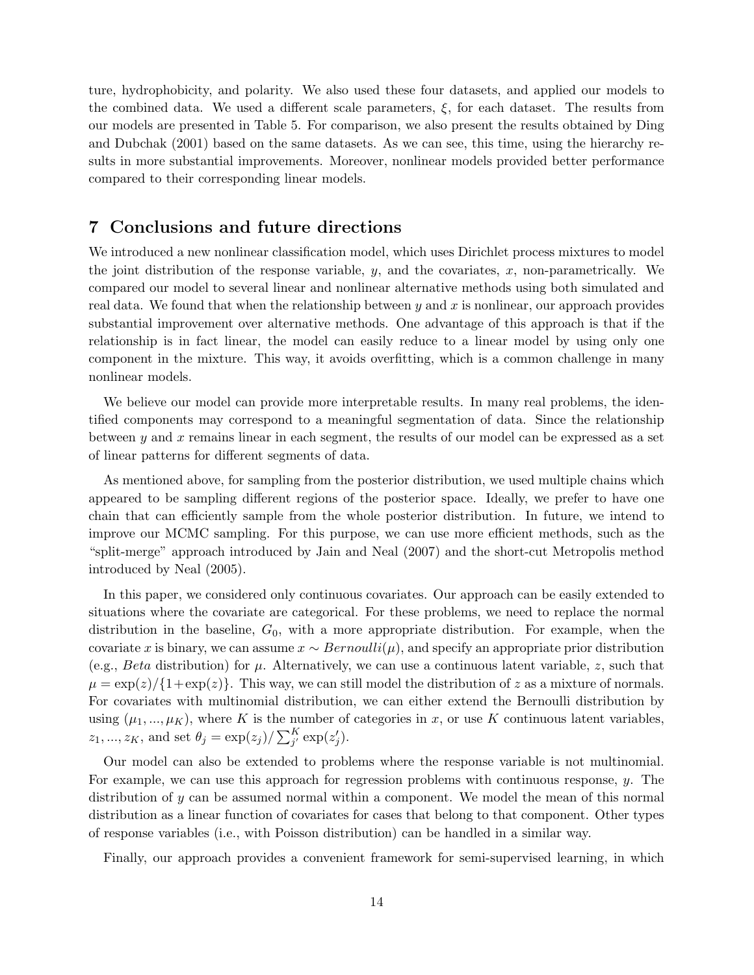ture, hydrophobicity, and polarity. We also used these four datasets, and applied our models to the combined data. We used a different scale parameters, ξ, for each dataset. The results from our models are presented in Table 5. For comparison, we also present the results obtained by Ding and Dubchak (2001) based on the same datasets. As we can see, this time, using the hierarchy results in more substantial improvements. Moreover, nonlinear models provided better performance compared to their corresponding linear models.

# 7 Conclusions and future directions

We introduced a new nonlinear classification model, which uses Dirichlet process mixtures to model the joint distribution of the response variable,  $y$ , and the covariates,  $x$ , non-parametrically. We compared our model to several linear and nonlinear alternative methods using both simulated and real data. We found that when the relationship between y and x is nonlinear, our approach provides substantial improvement over alternative methods. One advantage of this approach is that if the relationship is in fact linear, the model can easily reduce to a linear model by using only one component in the mixture. This way, it avoids overfitting, which is a common challenge in many nonlinear models.

We believe our model can provide more interpretable results. In many real problems, the identified components may correspond to a meaningful segmentation of data. Since the relationship between y and x remains linear in each segment, the results of our model can be expressed as a set of linear patterns for different segments of data.

As mentioned above, for sampling from the posterior distribution, we used multiple chains which appeared to be sampling different regions of the posterior space. Ideally, we prefer to have one chain that can efficiently sample from the whole posterior distribution. In future, we intend to improve our MCMC sampling. For this purpose, we can use more efficient methods, such as the "split-merge" approach introduced by Jain and Neal (2007) and the short-cut Metropolis method introduced by Neal (2005).

In this paper, we considered only continuous covariates. Our approach can be easily extended to situations where the covariate are categorical. For these problems, we need to replace the normal distribution in the baseline,  $G_0$ , with a more appropriate distribution. For example, when the covariate x is binary, we can assume  $x \sim Bernoulli(\mu)$ , and specify an appropriate prior distribution (e.g., *Beta* distribution) for  $\mu$ . Alternatively, we can use a continuous latent variable, z, such that  $\mu = \exp(z)/\{1+\exp(z)\}\.$  This way, we can still model the distribution of z as a mixture of normals. For covariates with multinomial distribution, we can either extend the Bernoulli distribution by using  $(\mu_1, ..., \mu_K)$ , where K is the number of categories in x, or use K continuous latent variables,  $z_1, ..., z_K$ , and set  $\theta_j = \exp(z_j) / \sum_{j'}^K \exp(z'_j)$  $'_{j}).$ 

Our model can also be extended to problems where the response variable is not multinomial. For example, we can use this approach for regression problems with continuous response,  $\gamma$ . The distribution of y can be assumed normal within a component. We model the mean of this normal distribution as a linear function of covariates for cases that belong to that component. Other types of response variables (i.e., with Poisson distribution) can be handled in a similar way.

Finally, our approach provides a convenient framework for semi-supervised learning, in which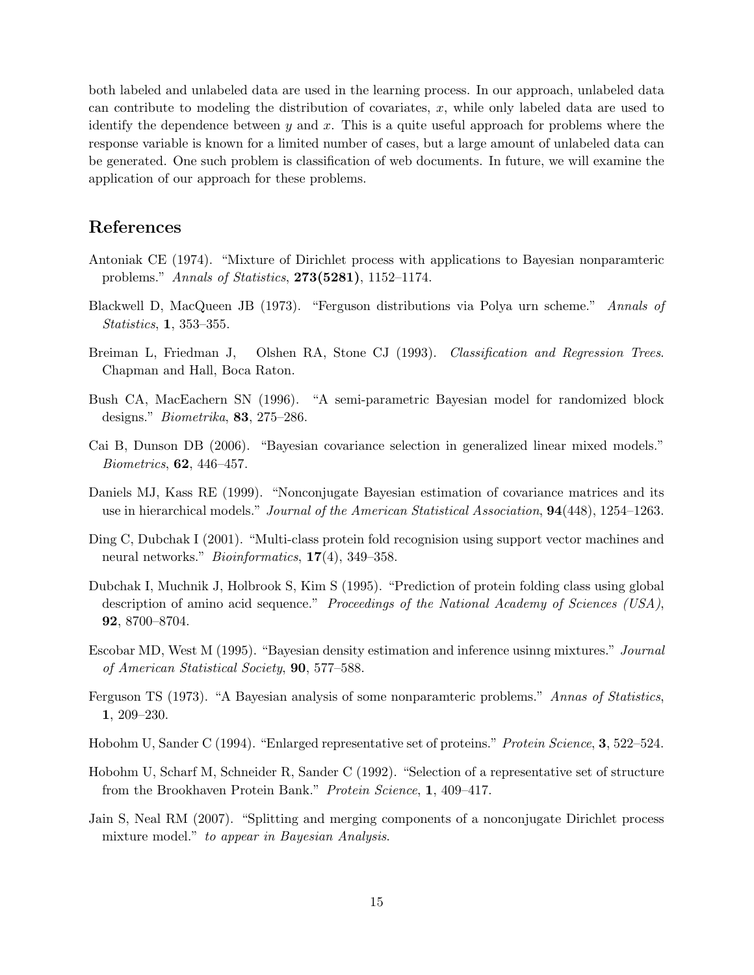both labeled and unlabeled data are used in the learning process. In our approach, unlabeled data can contribute to modeling the distribution of covariates,  $x$ , while only labeled data are used to identify the dependence between y and x. This is a quite useful approach for problems where the response variable is known for a limited number of cases, but a large amount of unlabeled data can be generated. One such problem is classification of web documents. In future, we will examine the application of our approach for these problems.

# References

- Antoniak CE (1974). "Mixture of Dirichlet process with applications to Bayesian nonparamteric problems." Annals of Statistics, 273(5281), 1152–1174.
- Blackwell D, MacQueen JB (1973). "Ferguson distributions via Polya urn scheme." Annals of Statistics, 1, 353–355.
- Breiman L, Friedman J, Olshen RA, Stone CJ (1993). Classification and Regression Trees. Chapman and Hall, Boca Raton.
- Bush CA, MacEachern SN (1996). "A semi-parametric Bayesian model for randomized block designs." Biometrika, 83, 275–286.
- Cai B, Dunson DB (2006). "Bayesian covariance selection in generalized linear mixed models." Biometrics, 62, 446–457.
- Daniels MJ, Kass RE (1999). "Nonconjugate Bayesian estimation of covariance matrices and its use in hierarchical models." Journal of the American Statistical Association, 94(448), 1254–1263.
- Ding C, Dubchak I (2001). "Multi-class protein fold recognision using support vector machines and neural networks." *Bioinformatics*, **17**(4), 349–358.
- Dubchak I, Muchnik J, Holbrook S, Kim S (1995). "Prediction of protein folding class using global description of amino acid sequence." Proceedings of the National Academy of Sciences (USA), 92, 8700–8704.
- Escobar MD, West M (1995). "Bayesian density estimation and inference usinng mixtures." Journal of American Statistical Society, 90, 577–588.
- Ferguson TS (1973). "A Bayesian analysis of some nonparamteric problems." Annas of Statistics, 1, 209–230.
- Hobohm U, Sander C (1994). "Enlarged representative set of proteins." Protein Science, 3, 522–524.
- Hobohm U, Scharf M, Schneider R, Sander C (1992). "Selection of a representative set of structure from the Brookhaven Protein Bank." Protein Science, 1, 409–417.
- Jain S, Neal RM (2007). "Splitting and merging components of a nonconjugate Dirichlet process mixture model." to appear in Bayesian Analysis.